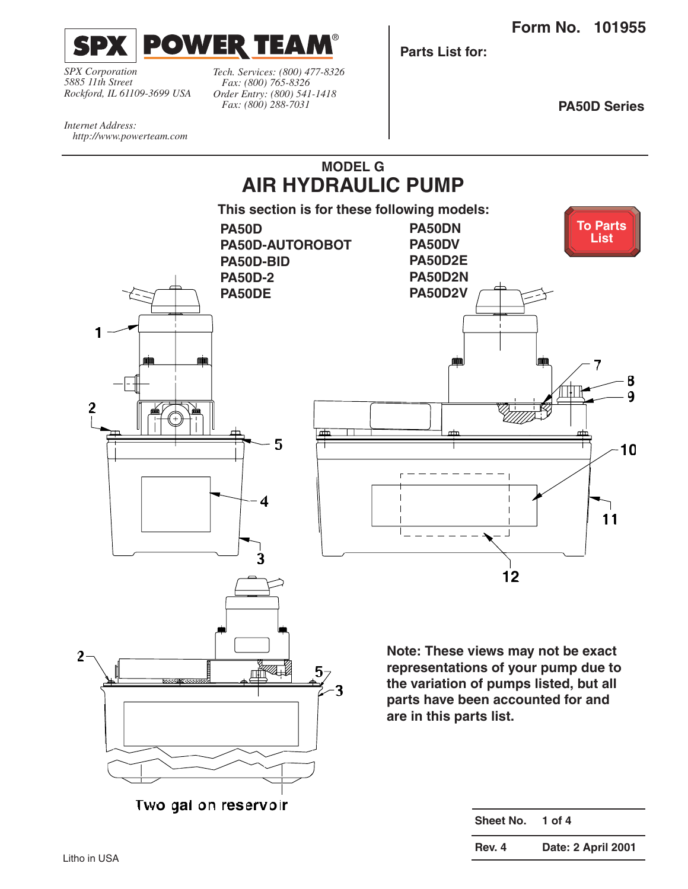<span id="page-0-0"></span>

*SPX Corporation 5885 11th Street Rockford, IL 61109-3699 USA* *Tech. Services: (800) 477-8326 Fax: (800) 765-8326 Order Entry: (800) 541-1418 Fax: (800) 288-7031*

**MODEL G**

**Parts List for:**

**PA50D Series**

*Internet Address: http://www.powerteam.com*

**2**

**1**



**3**

**representations of your pump due to the variation of pumps listed, but all parts have been accounted for and are in this parts list.**

| Sheet No. | 1 of $4$           |
|-----------|--------------------|
| Rev. 4    | Date: 2 April 2001 |

**2**

**Two gal on reservoir**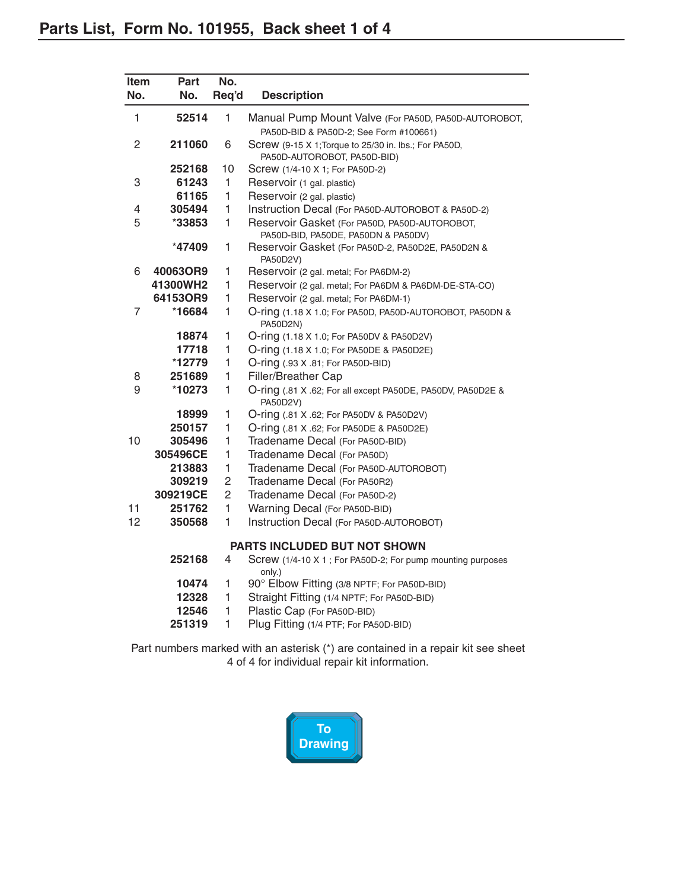<span id="page-1-0"></span>

| Item<br>No. | Part<br>No. | No.<br>Req'd   | <b>Description</b>                                                                   |
|-------------|-------------|----------------|--------------------------------------------------------------------------------------|
|             |             |                |                                                                                      |
| 1           | 52514       | 1              | Manual Pump Mount Valve (For PA50D, PA50D-AUTOROBOT,                                 |
|             |             |                | PA50D-BID & PA50D-2; See Form #100661)                                               |
| 2           | 211060      | 6              | Screw (9-15 X 1; Torque to 25/30 in. lbs.; For PA50D,<br>PA50D-AUTOROBOT, PA50D-BID) |
|             | 252168      | 10             | Screw (1/4-10 X 1; For PA50D-2)                                                      |
| 3           | 61243       | 1              | Reservoir (1 gal. plastic)                                                           |
|             | 61165       | 1              | Reservoir (2 gal. plastic)                                                           |
| 4           | 305494      | 1              | Instruction Decal (For PA50D-AUTOROBOT & PA50D-2)                                    |
| 5           | *33853      | 1              | Reservoir Gasket (For PA50D, PA50D-AUTOROBOT,<br>PA50D-BID, PA50DE, PA50DN & PA50DV) |
|             | *47409      | 1              | Reservoir Gasket (For PA50D-2, PA50D2E, PA50D2N &<br>PA50D2V)                        |
| 6           | 40063OR9    | 1              | Reservoir (2 gal. metal; For PA6DM-2)                                                |
|             | 41300WH2    | 1              | Reservoir (2 gal. metal; For PA6DM & PA6DM-DE-STA-CO)                                |
|             | 64153OR9    | $\mathbf{1}$   | Reservoir (2 gal. metal; For PA6DM-1)                                                |
| 7           | *16684      | $\mathbf{1}$   | O-ring (1.18 X 1.0; For PA50D, PA50D-AUTOROBOT, PA50DN &<br>PA50D2N)                 |
|             | 18874       | 1              | O-ring (1.18 X 1.0; For PA50DV & PA50D2V)                                            |
|             | 17718       | 1              | O-ring (1.18 X 1.0; For PA50DE & PA50D2E)                                            |
|             | *12779      | 1              | O-ring (.93 X .81; For PA50D-BID)                                                    |
| 8           | 251689      | 1              | <b>Filler/Breather Cap</b>                                                           |
| 9           | *10273      | 1              | O-ring (.81 X .62; For all except PA50DE, PA50DV, PA50D2E &<br>PA50D2V)              |
|             | 18999       | 1              | O-ring (.81 X .62; For PA50DV & PA50D2V)                                             |
|             | 250157      | 1              | O-ring (.81 X .62; For PA50DE & PA50D2E)                                             |
| 10          | 305496      | 1              | Tradename Decal (For PA50D-BID)                                                      |
|             | 305496CE    | 1              | Tradename Decal (For PA50D)                                                          |
|             | 213883      | 1              | Tradename Decal (For PA50D-AUTOROBOT)                                                |
|             | 309219      | 2              | Tradename Decal (For PA50R2)                                                         |
|             | 309219CE    | $\overline{c}$ | Tradename Decal (For PA50D-2)                                                        |
| 11          | 251762      | $\mathbf{1}$   | Warning Decal (For PA50D-BID)                                                        |
| 12          | 350568      | 1              | Instruction Decal (For PA50D-AUTOROBOT)                                              |
|             |             |                | <b>PARTS INCLUDED BUT NOT SHOWN</b>                                                  |
|             | 252168      | 4              | Screw (1/4-10 X 1; For PA50D-2; For pump mounting purposes<br>only.)                 |
|             | 10474       | 1              | 90° Elbow Fitting (3/8 NPTF; For PA50D-BID)                                          |
|             | 12328       | 1              | Straight Fitting (1/4 NPTF; For PA50D-BID)                                           |
|             | 12546       | 1              | Plastic Cap (For PA50D-BID)                                                          |
|             | 251319      | 1              | Plug Fitting (1/4 PTF; For PA50D-BID)                                                |
|             |             |                |                                                                                      |

Part numbers marked with an asterisk (\*) are contained in a repair kit see sheet 4 of 4 for individual repair kit information.

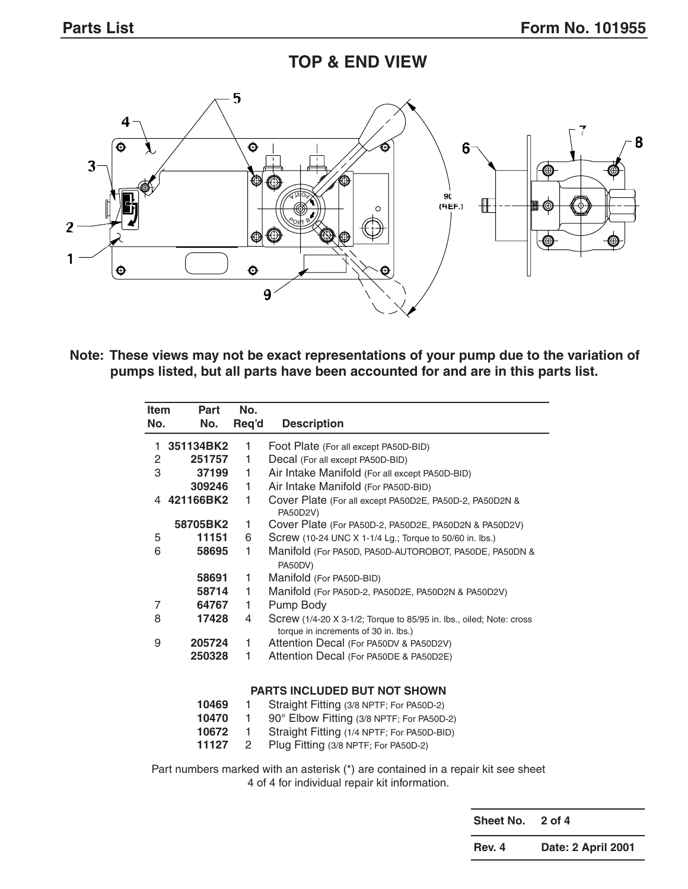## **TOP & END VIEW**



**Note: These views may not be exact representations of your pump due to the variation of pumps listed, but all parts have been accounted for and are in this parts list.**

| Item<br>No. | Part<br>No. | No.<br>Req'd | <b>Description</b>                                                                                          |
|-------------|-------------|--------------|-------------------------------------------------------------------------------------------------------------|
| 1           | 351134BK2   | 1            | Foot Plate (For all except PA50D-BID)                                                                       |
| 2           | 251757      | 1            | Decal (For all except PA50D-BID)                                                                            |
| 3           | 37199       | 1            | Air Intake Manifold (For all except PA50D-BID)                                                              |
|             | 309246      | 1            | Air Intake Manifold (For PA50D-BID)                                                                         |
| 4           | 421166BK2   | 1            | Cover Plate (For all except PA50D2E, PA50D-2, PA50D2N &<br>PA50D2V)                                         |
|             | 58705BK2    | 1            | Cover Plate (For PA50D-2, PA50D2E, PA50D2N & PA50D2V)                                                       |
| 5           | 11151       | 6            | Screw (10-24 UNC X 1-1/4 Lg.; Torque to 50/60 in. lbs.)                                                     |
| 6           | 58695       | 1            | Manifold (For PA50D, PA50D-AUTOROBOT, PA50DE, PA50DN &<br>PA50DV)                                           |
|             | 58691       | 1            | Manifold (For PA50D-BID)                                                                                    |
|             | 58714       | 1            | Manifold (For PA50D-2, PA50D2E, PA50D2N & PA50D2V)                                                          |
| 7           | 64767       | 1            | Pump Body                                                                                                   |
| 8           | 17428       | 4            | Screw (1/4-20 X 3-1/2; Torque to 85/95 in. lbs., oiled; Note: cross<br>torque in increments of 30 in. lbs.) |
| 9           | 205724      | 1            | Attention Decal (For PA50DV & PA50D2V)                                                                      |
|             | 250328      | 1            | Attention Decal (For PA50DE & PA50D2E)                                                                      |
|             |             |              | <b>PARTS INCLUDED BUT NOT SHOWN</b>                                                                         |
|             | 10469       | 1            | Straight Fitting (3/8 NPTF; For PA50D-2)                                                                    |
|             | 10470       | 1            | 90° Elbow Fitting (3/8 NPTF; For PA50D-2)                                                                   |
|             | 10672       | 1            | Straight Fitting (1/4 NPTF; For PA50D-BID)                                                                  |
|             | 11127       | 2            | Plug Fitting (3/8 NPTF; For PA50D-2)                                                                        |
|             |             |              | Part numbers marked with an asterisk (*) are contained in a repair kit see sheet                            |

4 of 4 for individual repair kit information.

**Sheet No. 2 of 4**

**Rev. 4 Date: 2 April 2001**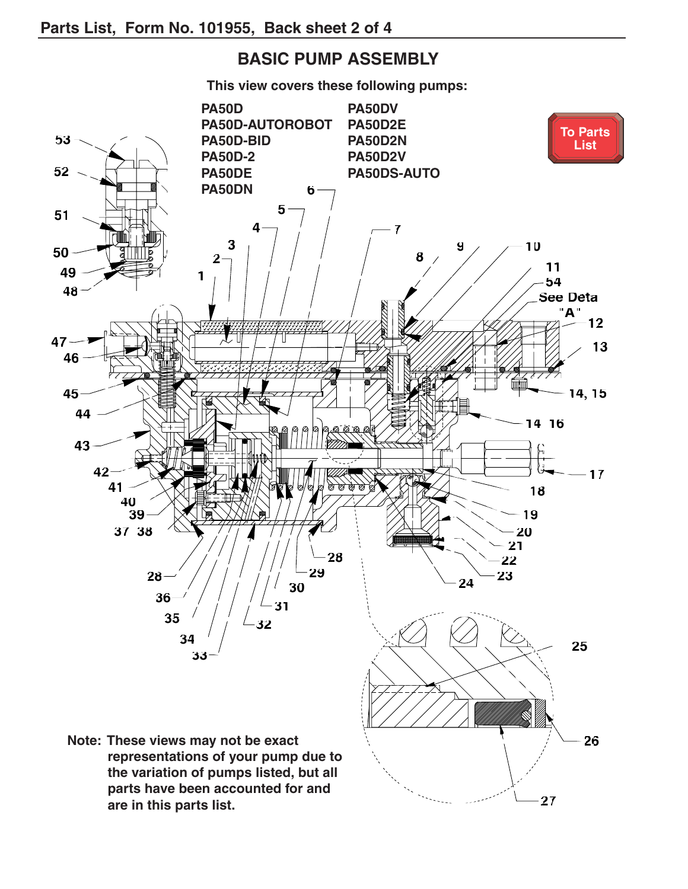## **BASIC PUMP ASSEMBLY**

<span id="page-3-0"></span>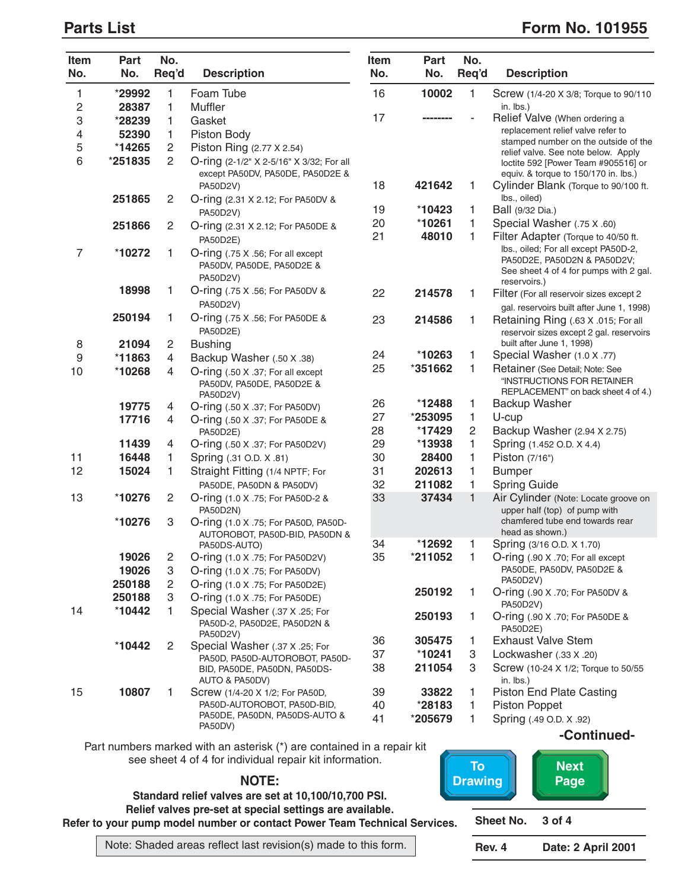#### <span id="page-4-0"></span>**Parts List** Form No. 101955

| Item<br>No.      | <b>Part</b><br>No. | No.<br>Req'd   | <b>Description</b>                                                         | Item<br>No. | Part<br>No. | No.<br>Req'd   | <b>Description</b>                                                                                                            |
|------------------|--------------------|----------------|----------------------------------------------------------------------------|-------------|-------------|----------------|-------------------------------------------------------------------------------------------------------------------------------|
| 1                | *29992             | 1              | Foam Tube                                                                  | 16          | 10002       | 1              | Screw (1/4-20 X 3/8; Torque to 90/110                                                                                         |
| 2                | 28387              | 1              | Muffler                                                                    |             |             |                | in. lbs.)                                                                                                                     |
| 3                | *28239             | 1              | Gasket                                                                     | 17          |             |                | Relief Valve (When ordering a                                                                                                 |
| 4                | 52390              | 1              | Piston Body                                                                |             |             |                | replacement relief valve refer to                                                                                             |
| 5                | *14265             | $\overline{c}$ | Piston Ring (2.77 X 2.54)                                                  |             |             |                | stamped number on the outside of the                                                                                          |
| 6                | *251835            | 2              | O-ring (2-1/2" X 2-5/16" X 3/32; For all                                   |             |             |                | relief valve. See note below. Apply                                                                                           |
|                  |                    |                | except PA50DV, PA50DE, PA50D2E &                                           |             |             |                | loctite 592 [Power Team #905516] or<br>equiv. & torque to 150/170 in. lbs.)                                                   |
|                  |                    |                | PA50D2V)                                                                   | 18          | 421642      | 1              | Cylinder Blank (Torque to 90/100 ft.                                                                                          |
|                  | 251865             | $\overline{c}$ | O-ring (2.31 X 2.12; For PA50DV &                                          |             |             |                | Ibs., oiled)                                                                                                                  |
|                  |                    |                | PA50D2V)                                                                   | 19          | *10423      | $\mathbf{1}$   | Ball (9/32 Dia.)                                                                                                              |
|                  | 251866             | $\overline{c}$ | O-ring (2.31 X 2.12; For PA50DE &                                          | 20          | *10261      | 1              | Special Washer (.75 X .60)                                                                                                    |
|                  |                    |                | PA50D2E)                                                                   | 21          | 48010       | 1              | Filter Adapter (Torque to 40/50 ft.                                                                                           |
| $\overline{7}$   | *10272             | 1              | O-ring (.75 X .56; For all except<br>PA50DV, PA50DE, PA50D2E &<br>PA50D2V) |             |             |                | Ibs., oiled; For all except PA50D-2,<br>PA50D2E, PA50D2N & PA50D2V;<br>See sheet 4 of 4 for pumps with 2 gal.<br>reservoirs.) |
|                  | 18998              | 1              | O-ring (.75 X .56; For PA50DV &                                            | 22          | 214578      | 1              | Filter (For all reservoir sizes except 2                                                                                      |
|                  |                    |                | PA50D2V)                                                                   |             |             |                | gal. reservoirs built after June 1, 1998)                                                                                     |
|                  | 250194             | 1              | O-ring (.75 X .56; For PA50DE &<br>PA50D2E)                                | 23          | 214586      | 1              | Retaining Ring (.63 X .015; For all<br>reservoir sizes except 2 gal. reservoirs                                               |
| 8                | 21094              | $\overline{c}$ | <b>Bushing</b>                                                             | 24          | *10263      |                | built after June 1, 1998)                                                                                                     |
| $\boldsymbol{9}$ | *11863             | 4              | Backup Washer (.50 X .38)                                                  | 25          | *351662     | 1              | Special Washer (1.0 X .77)                                                                                                    |
| 10               | *10268             | 4              | O-ring (.50 X .37; For all except<br>PA50DV, PA50DE, PA50D2E &<br>PA50D2V) |             |             | 1              | Retainer (See Detail; Note: See<br>"INSTRUCTIONS FOR RETAINER<br>REPLACEMENT" on back sheet 4 of 4.)                          |
|                  | 19775              | 4              | O-ring (.50 X .37; For PA50DV)                                             | 26          | *12488      | $\mathbf{1}$   | Backup Washer                                                                                                                 |
|                  | 17716              | 4              | O-ring (.50 X .37; For PA50DE &                                            | 27          | *253095     | $\mathbf{1}$   | U-cup                                                                                                                         |
|                  |                    |                | PA50D2E)                                                                   | 28          | *17429      | $\overline{2}$ | Backup Washer (2.94 X 2.75)                                                                                                   |
|                  | 11439              | 4              | O-ring (.50 X .37; For PA50D2V)                                            | 29          | *13938      | 1              | Spring (1.452 O.D. X 4.4)                                                                                                     |
| 11               | 16448              | 1              | Spring (.31 O.D. X .81)                                                    | 30          | 28400       | $\mathbf{1}$   | Piston (7/16")                                                                                                                |
| 12               | 15024              | 1              | Straight Fitting (1/4 NPTF; For                                            | 31          | 202613      | 1              | <b>Bumper</b>                                                                                                                 |
|                  |                    |                | PA50DE, PA50DN & PA50DV)                                                   | 32          | 211082      | $\mathbf{1}$   | <b>Spring Guide</b>                                                                                                           |
| 13               | *10276             | $\overline{2}$ | O-ring (1.0 X .75; For PA50D-2 &<br>PA50D2N)                               | 33          | 37434       | $\mathbf{1}$   | Air Cylinder (Note: Locate groove on<br>upper half (top) of pump with                                                         |
|                  | *10276             | 3              | O-ring (1.0 X .75; For PA50D, PA50D-                                       |             |             |                | chamfered tube end towards rear<br>head as shown.)                                                                            |
|                  |                    |                | AUTOROBOT, PA50D-BID, PA50DN &<br>PA50DS-AUTO)                             | 34          | *12692      | 1              | Spring (3/16 O.D. X 1.70)                                                                                                     |
|                  | 19026              | 2              | O-ring (1.0 X .75; For PA50D2V)                                            | 35          | *211052     | 1              | O-ring (.90 X .70; For all except                                                                                             |
|                  | 19026              | 3              | O-ring (1.0 X .75; For PA50DV)                                             |             |             |                | PA50DE, PA50DV, PA50D2E &                                                                                                     |
|                  | 250188             | 2              | O-ring (1.0 X .75; For PA50D2E)                                            |             |             |                | PA50D2V)                                                                                                                      |
|                  | 250188             | 3              | O-ring (1.0 X .75; For PA50DE)                                             |             | 250192      | $\mathbf{1}$   | O-ring (.90 X .70; For PA50DV &                                                                                               |
| 14               | *10442             | 1              | Special Washer (.37 X .25; For                                             |             |             |                | PA50D2V)                                                                                                                      |
|                  |                    |                | PA50D-2, PA50D2E, PA50D2N &<br>PA50D2V)                                    |             | 250193      | $\mathbf{1}$   | O-ring (.90 X .70; For PA50DE &<br>PA50D2E)                                                                                   |
|                  | *10442             | 2              | Special Washer (.37 X .25; For                                             | 36          | 305475      | 1              | <b>Exhaust Valve Stem</b>                                                                                                     |
|                  |                    |                | PA50D, PA50D-AUTOROBOT, PA50D-                                             | 37          | *10241      | 3              | Lockwasher (.33 X .20)                                                                                                        |
|                  |                    |                | BID, PA50DE, PA50DN, PA50DS-<br>AUTO & PA50DV)                             | 38          | 211054      | 3              | Screw (10-24 X 1/2; Torque to 50/55<br>in. lbs.)                                                                              |
| 15               | 10807              | 1              | Screw (1/4-20 X 1/2; For PA50D,                                            | 39          | 33822       | 1              | <b>Piston End Plate Casting</b>                                                                                               |
|                  |                    |                | PA50D-AUTOROBOT, PA50D-BID,                                                | 40          | *28183      | $\mathbf{1}$   | Piston Poppet                                                                                                                 |
|                  |                    |                | PA50DE, PA50DN, PA50DS-AUTO &<br>PA50DV)                                   | 41          | *205679     | $\mathbf{1}$   | Spring (.49 O.D. X .92)                                                                                                       |
|                  |                    |                |                                                                            |             |             |                | -Continued-                                                                                                                   |

Part numbers marked with an asterisk (\*) are contained in a repair kit see sheet 4 of 4 for individual repair kit information.

**NOTE:**

**Standard relief valves are set at 10,100/10,700 PSI. Relief valves pre-set at special settings are available. Refer to your pump model number or contact Power Team Technical Services.**

**Sheet No. 3 of 4 Rev. 4 Date: 2 April 2001 To [Drawing](#page-3-0) [Next](#page-5-0)  Page**

Note: Shaded areas reflect last revision(s) made to this form.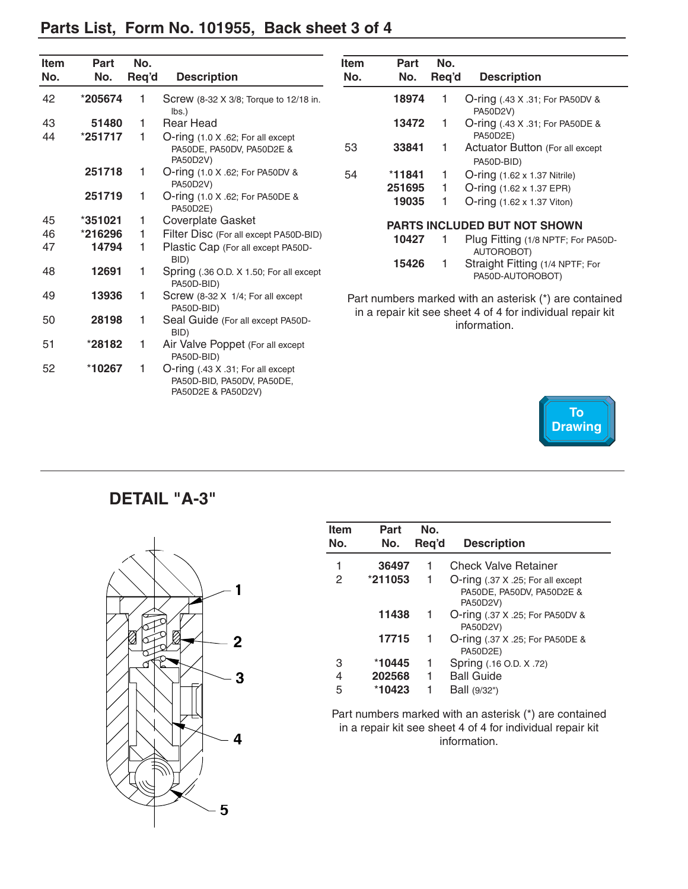<span id="page-5-0"></span>

|  |  |  | Parts List, Form No. 101955, Back sheet 3 of 4 |  |
|--|--|--|------------------------------------------------|--|
|--|--|--|------------------------------------------------|--|

| <b>Item</b><br>No. | Part<br>No. | No.<br>Req'd | <b>Description</b>                                                                    | <b>Item</b><br>No. | Part<br>No. | No.<br>Req'd | <b>Description</b>                                                         |
|--------------------|-------------|--------------|---------------------------------------------------------------------------------------|--------------------|-------------|--------------|----------------------------------------------------------------------------|
| 42                 | *205674     |              | Screw (8-32 X 3/8; Torque to 12/18 in.<br>lbs.                                        |                    | 18974       |              | O-ring (.43 X .31; For PA50DV &<br>PA50D2V)                                |
| 43<br>44           | 51480       |              | <b>Rear Head</b>                                                                      |                    | 13472       | 1            | O-ring (.43 X .31; For PA50DE &<br>PA50D2E)                                |
|                    | *251717     | 1            | O-ring (1.0 X .62; For all except<br>PA50DE, PA50DV, PA50D2E &<br>PA50D2V)            | 53                 | 33841       | 1            | Actuator Button (For all except<br>PA50D-BID)                              |
|                    | 251718      |              | O-ring (1.0 X .62; For PA50DV &                                                       | 54                 | $*11841$    | 1            | O-ring (1.62 x 1.37 Nitrile)                                               |
|                    |             |              | PA50D2V)                                                                              |                    | 251695      | 1            | O-ring (1.62 x 1.37 EPR)                                                   |
|                    | 251719      |              | O-ring (1.0 X .62; For PA50DE &<br><b>PA50D2E)</b>                                    |                    | 19035       | 1            | $O\text{-ring}$ (1.62 x 1.37 Viton)                                        |
| 45                 | *351021     | 1            | Coverplate Gasket                                                                     |                    |             |              | PARTS INCLUDED BUT NOT SHOWN                                               |
| 46                 | *216296     | 1            | Filter Disc (For all except PA50D-BID)                                                |                    | 10427       |              | Plug Fitting (1/8 NPTF; For PA50D-                                         |
| 47                 | 14794       | 1            | Plastic Cap (For all except PA50D-<br>BID)                                            |                    |             |              | AUTOROBOT)                                                                 |
| 48                 | 12691       |              | Spring (.36 O.D. X 1.50; For all except<br>PA50D-BID)                                 |                    | 15426       | 1            | Straight Fitting (1/4 NPTF; For<br>PA50D-AUTOROBOT)                        |
| 49                 | 13936       | 1            | Screw (8-32 X 1/4; For all except<br>PA50D-BID)                                       |                    |             |              | Part numbers marked with an asterisk (*) are contained                     |
| 50                 | 28198       |              | Seal Guide (For all except PA50D-<br>BID)                                             |                    |             |              | in a repair kit see sheet 4 of 4 for individual repair kit<br>information. |
| 51                 | *28182      |              | Air Valve Poppet (For all except<br>PA50D-BID)                                        |                    |             |              |                                                                            |
| 52                 | *10267      |              | O-ring (.43 X .31; For all except<br>PA50D-BID, PA50DV, PA50DE,<br>PA50D2E & PA50D2V) |                    |             |              | To                                                                         |

**DETAIL "A-3"**



| <b>Item</b><br>No. | Part<br>No. | No.<br>Req'd | <b>Description</b>                                                         |
|--------------------|-------------|--------------|----------------------------------------------------------------------------|
| 1                  | 36497       | 1            | Check Valve Retainer                                                       |
| 2                  | *211053     | 1            | O-ring (.37 X .25; For all except<br>PA50DE, PA50DV, PA50D2E &<br>PA50D2V) |
|                    | 11438       | 1            | <b>O-ring (.37 X .25; For PA50DV &amp;</b><br>PA50D2V)                     |
|                    | 17715       | 1            | O-ring (.37 X .25; For PA50DE &<br>PA50D2E)                                |
| 3                  | *10445      | 1            | Spring (.16 O.D. X .72)                                                    |
| 4                  | 202568      | 1            | <b>Ball Guide</b>                                                          |
| 5                  | *10423      |              | Ball (9/32")                                                               |

**[Drawing](#page-3-0)**

Part numbers marked with an asterisk (\*) are contained in a repair kit see sheet 4 of 4 for individual repair kit information.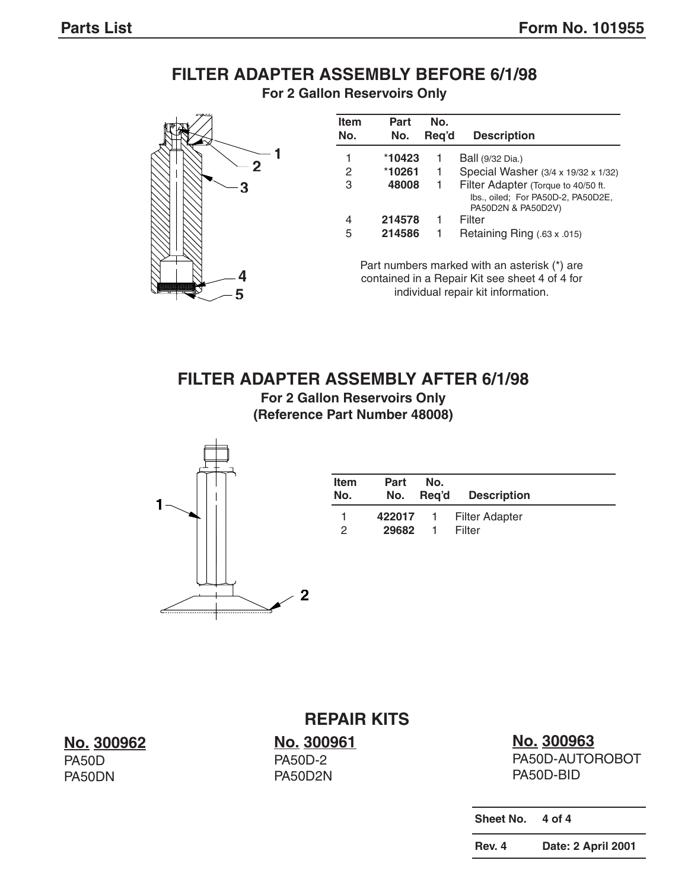## **FILTER ADAPTER ASSEMBLY BEFORE 6/1/98**

**For 2 Gallon Reservoirs Only**



| Item<br>No. | Part<br>No. | No.<br>Reg'd | <b>Description</b>                                                                              |
|-------------|-------------|--------------|-------------------------------------------------------------------------------------------------|
| 1           | *10423      | 1            | Ball (9/32 Dia.)                                                                                |
| 2           | *10261      | -1.          | Special Washer (3/4 x 19/32 x 1/32)                                                             |
| 3           | 48008       | 1.           | Filter Adapter (Torque to 40/50 ft.<br>Ibs., oiled; For PA50D-2, PA50D2E,<br>PA50D2N & PA50D2V) |
| 4           | 214578      | 1            | Filter                                                                                          |
| 5           | 214586      | $\mathbf{1}$ | Retaining Ring $(.63 \times .015)$                                                              |

Part numbers marked with an asterisk (\*) are contained in a Repair Kit see sheet 4 of 4 for individual repair kit information.

#### **FILTER ADAPTER ASSEMBLY AFTER 6/1/98**

**For 2 Gallon Reservoirs Only (Reference Part Number 48008)**



| <b>Item</b><br>No. | Part<br>No. | No. | Req'd Description       |
|--------------------|-------------|-----|-------------------------|
|                    |             |     | 422017 1 Filter Adapter |
| $\mathcal{P}$      | 29682       |     | Filter                  |

**No. 300962** PA50D

PA50DN

## **REPAIR KITS**

**No. 300961** PA50D-2 PA50D2N

# **No. 300963**

PA50D-AUTOROBOT PA50D-BID

**Sheet No. 4 of 4**

**Rev. 4 Date: 2 April 2001**